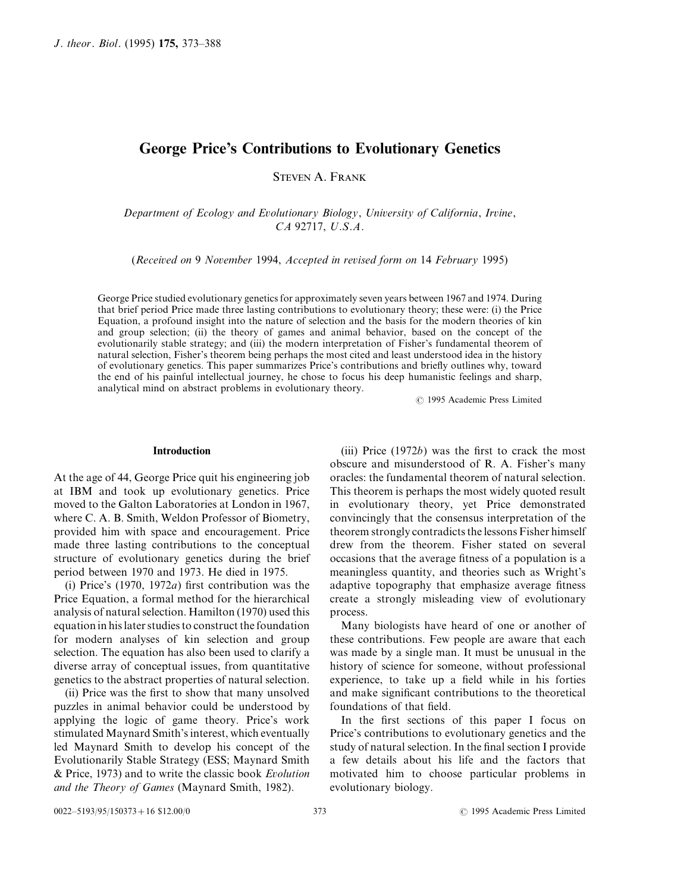# George Price's Contributions to Evolutionary Genetics

**STEVEN A. FRANK** 

*Department of Ecology and Evolutionary Biology*, *University of California*, *Irvine*, *CA* 92717, *U*.*S*.*A*.

(*Received on* 9 *November* 1994, *Accepted in revised form on* 14 *February* 1995)

George Price studied evolutionary genetics for approximately seven years between 1967 and 1974. During that brief period Price made three lasting contributions to evolutionary theory; these were: (i) the Price Equation, a profound insight into the nature of selection and the basis for the modern theories of kin and group selection; (ii) the theory of games and animal behavior, based on the concept of the evolutionarily stable strategy; and (iii) the modern interpretation of Fisher's fundamental theorem of natural selection, Fisher's theorem being perhaps the most cited and least understood idea in the history of evolutionary genetics. This paper summarizes Price's contributions and briefly outlines why, toward the end of his painful intellectual journey, he chose to focus his deep humanistic feelings and sharp, analytical mind on abstract problems in evolutionary theory.

7 1995 Academic Press Limited

# Introduction

At the age of 44, George Price quit his engineering job at IBM and took up evolutionary genetics. Price moved to the Galton Laboratories at London in 1967, where C. A. B. Smith, Weldon Professor of Biometry, provided him with space and encouragement. Price made three lasting contributions to the conceptual structure of evolutionary genetics during the brief period between 1970 and 1973. He died in 1975.

(i) Price's (1970, 1972*a*) first contribution was the Price Equation, a formal method for the hierarchical analysis of natural selection. Hamilton (1970) used this equation in his later studies to construct the foundation for modern analyses of kin selection and group selection. The equation has also been used to clarify a diverse array of conceptual issues, from quantitative genetics to the abstract properties of natural selection.

(ii) Price was the first to show that many unsolved puzzles in animal behavior could be understood by applying the logic of game theory. Price's work stimulated Maynard Smith's interest, which eventually led Maynard Smith to develop his concept of the Evolutionarily Stable Strategy (ESS; Maynard Smith & Price, 1973) and to write the classic book *Evolution and the Theory of Games* (Maynard Smith, 1982).

(iii) Price (1972*b*) was the first to crack the most obscure and misunderstood of R. A. Fisher's many oracles: the fundamental theorem of natural selection. This theorem is perhaps the most widely quoted result in evolutionary theory, yet Price demonstrated convincingly that the consensus interpretation of the theorem strongly contradicts the lessons Fisher himself drew from the theorem. Fisher stated on several occasions that the average fitness of a population is a meaningless quantity, and theories such as Wright's adaptive topography that emphasize average fitness create a strongly misleading view of evolutionary process.

Many biologists have heard of one or another of these contributions. Few people are aware that each was made by a single man. It must be unusual in the history of science for someone, without professional experience, to take up a field while in his forties and make significant contributions to the theoretical foundations of that field.

In the first sections of this paper I focus on Price's contributions to evolutionary genetics and the study of natural selection. In the final section I provide a few details about his life and the factors that motivated him to choose particular problems in evolutionary biology.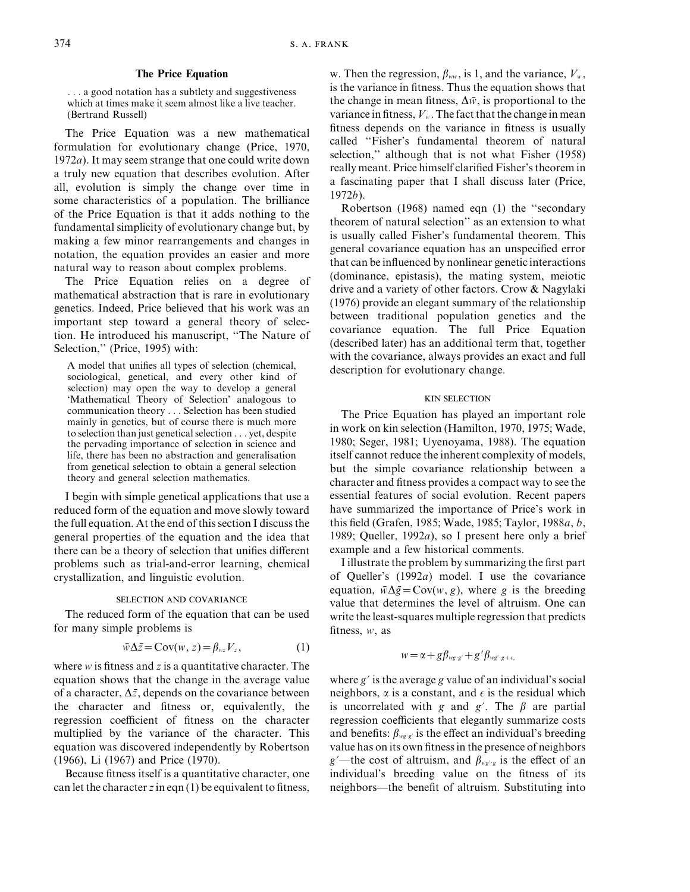# The Price Equation

. . . a good notation has a subtlety and suggestiveness which at times make it seem almost like a live teacher. (Bertrand Russell)

The Price Equation was a new mathematical formulation for evolutionary change (Price, 1970, 1972*a*). It may seem strange that one could write down a truly new equation that describes evolution. After all, evolution is simply the change over time in some characteristics of a population. The brilliance of the Price Equation is that it adds nothing to the fundamental simplicity of evolutionary change but, by making a few minor rearrangements and changes in notation, the equation provides an easier and more natural way to reason about complex problems.

The Price Equation relies on a degree of mathematical abstraction that is rare in evolutionary genetics. Indeed, Price believed that his work was an important step toward a general theory of selection. He introduced his manuscript, ''The Nature of Selection," (Price, 1995) with:

A model that unifies all types of selection (chemical, sociological, genetical, and every other kind of selection) may open the way to develop a general 'Mathematical Theory of Selection' analogous to communication theory . . . Selection has been studied mainly in genetics, but of course there is much more to selection than just genetical selection . . . yet, despite the pervading importance of selection in science and life, there has been no abstraction and generalisation from genetical selection to obtain a general selection theory and general selection mathematics.

I begin with simple genetical applications that use a reduced form of the equation and move slowly toward the full equation. At the end of this section I discuss the general properties of the equation and the idea that there can be a theory of selection that unifies different problems such as trial-and-error learning, chemical crystallization, and linguistic evolution.

#### SELECTION AND COVARIANCE

The reduced form of the equation that can be used for many simple problems is

$$
\bar{w}\Delta \bar{z} = \text{Cov}(w, z) = \beta_{wz} V_z, \qquad (1)
$$

where *w* is fitness and *z* is a quantitative character. The equation shows that the change in the average value of a character,  $\Delta \bar{z}$ , depends on the covariance between the character and fitness or, equivalently, the regression coefficient of fitness on the character multiplied by the variance of the character. This equation was discovered independently by Robertson (1966), Li (1967) and Price (1970).

Because fitness itself is a quantitative character, one can let the character  $z$  in eqn (1) be equivalent to fitness,

w. Then the regression,  $\beta_{ww}$ , is 1, and the variance,  $V_w$ , is the variance in fitness. Thus the equation shows that the change in mean fitness,  $\Delta \bar{w}$ , is proportional to the variance in fitness,  $V_w$ . The fact that the change in mean fitness depends on the variance in fitness is usually called ''Fisher's fundamental theorem of natural selection,'' although that is not what Fisher (1958) really meant. Price himself clarified Fisher's theorem in a fascinating paper that I shall discuss later (Price, 1972*b*).

Robertson (1968) named eqn (1) the ''secondary theorem of natural selection'' as an extension to what is usually called Fisher's fundamental theorem. This general covariance equation has an unspecified error that can be influenced by nonlinear genetic interactions (dominance, epistasis), the mating system, meiotic drive and a variety of other factors. Crow & Nagylaki (1976) provide an elegant summary of the relationship between traditional population genetics and the covariance equation. The full Price Equation (described later) has an additional term that, together with the covariance, always provides an exact and full description for evolutionary change.

#### **KIN SELECTION**

The Price Equation has played an important role in work on kin selection (Hamilton, 1970, 1975; Wade, 1980; Seger, 1981; Uyenoyama, 1988). The equation itself cannot reduce the inherent complexity of models, but the simple covariance relationship between a character and fitness provides a compact way to see the essential features of social evolution. Recent papers have summarized the importance of Price's work in this field (Grafen, 1985; Wade, 1985; Taylor, 1988*a*, *b*, 1989; Queller, 1992*a*), so I present here only a brief example and a few historical comments.

I illustrate the problem by summarizing the first part of Queller's (1992*a*) model. I use the covariance equation,  $\bar{w}\Delta\bar{g} = \text{Cov}(w, g)$ , where *g* is the breeding value that determines the level of altruism. One can write the least-squares multiple regression that predicts fitness, *w*, as

$$
w = \alpha + g\beta_{wg \cdot g'} + g'\beta_{wg' \cdot g + \epsilon}
$$

where *g*' is the average *g* value of an individual's social neighbors,  $\alpha$  is a constant, and  $\epsilon$  is the residual which is uncorrelated with *g* and  $g'$ . The  $\beta$  are partial regression coefficients that elegantly summarize costs and benefits:  $\beta_{\text{wg-g}}$  is the effect an individual's breeding value has on its own fitness in the presence of neighbors *g*'—the cost of altruism, and  $\beta_{\text{wg}',g}$  is the effect of an individual's breeding value on the fitness of its neighbors—the benefit of altruism. Substituting into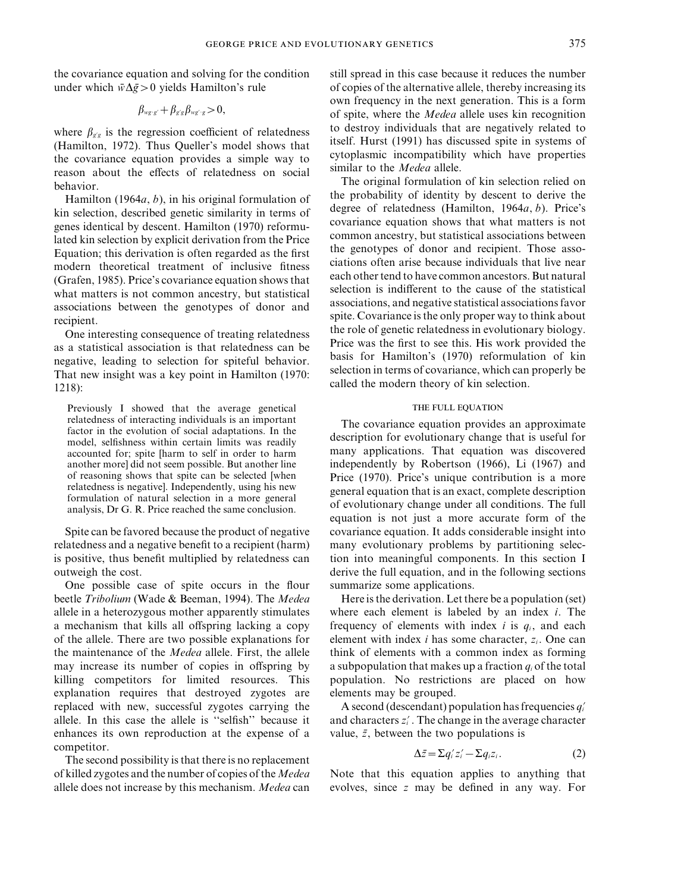the covariance equation and solving for the condition under which  $\bar{w}\Delta \bar{g} > 0$  yields Hamilton's rule

$$
\beta_{\mathsf{wg}\cdot\mathsf{g}'}+\beta_{\mathsf{g}'\mathsf{g}}\beta_{\mathsf{wg}'\cdot\mathsf{g}}\!>\!0,
$$

where  $\beta_{g'g}$  is the regression coefficient of relatedness (Hamilton, 1972). Thus Queller's model shows that the covariance equation provides a simple way to reason about the effects of relatedness on social behavior.

Hamilton (1964*a*, *b*), in his original formulation of kin selection, described genetic similarity in terms of genes identical by descent. Hamilton (1970) reformulated kin selection by explicit derivation from the Price Equation; this derivation is often regarded as the first modern theoretical treatment of inclusive fitness (Grafen, 1985). Price's covariance equation shows that what matters is not common ancestry, but statistical associations between the genotypes of donor and recipient.

One interesting consequence of treating relatedness as a statistical association is that relatedness can be negative, leading to selection for spiteful behavior. That new insight was a key point in Hamilton (1970: 1218):

Previously I showed that the average genetical relatedness of interacting individuals is an important factor in the evolution of social adaptations. In the model, selfishness within certain limits was readily accounted for; spite [harm to self in order to harm another more] did not seem possible. But another line of reasoning shows that spite can be selected [when relatedness is negative]. Independently, using his new formulation of natural selection in a more general analysis, Dr G. R. Price reached the same conclusion.

Spite can be favored because the product of negative relatedness and a negative benefit to a recipient (harm) is positive, thus benefit multiplied by relatedness can outweigh the cost.

One possible case of spite occurs in the flour beetle *Tribolium* (Wade & Beeman, 1994). The *Medea* allele in a heterozygous mother apparently stimulates a mechanism that kills all offspring lacking a copy of the allele. There are two possible explanations for the maintenance of the *Medea* allele. First, the allele may increase its number of copies in offspring by killing competitors for limited resources. This explanation requires that destroyed zygotes are replaced with new, successful zygotes carrying the allele. In this case the allele is ''selfish'' because it enhances its own reproduction at the expense of a competitor.

The second possibility is that there is no replacement ofkilledzygotesandthenumberofcopiesofthe*Medea* allele does not increase by this mechanism. *Medea* can still spread in this case because it reduces the number of copies of the alternative allele, thereby increasing its own frequency in the next generation. This is a form of spite, where the *Medea* allele uses kin recognition to destroy individuals that are negatively related to itself. Hurst (1991) has discussed spite in systems of cytoplasmic incompatibility which have properties similar to the *Medea* allele.

The original formulation of kin selection relied on the probability of identity by descent to derive the degree of relatedness (Hamilton, 1964*a*, *b*). Price's covariance equation shows that what matters is not common ancestry, but statistical associations between the genotypes of donor and recipient. Those associations often arise because individuals that live near each other tend to have common ancestors. But natural selection is indifferent to the cause of the statistical associations, and negative statistical associations favor spite. Covariance is the only proper way to think about the role of genetic relatedness in evolutionary biology. Price was the first to see this. His work provided the basis for Hamilton's (1970) reformulation of kin selection in terms of covariance, which can properly be called the modern theory of kin selection.

# THE FULL EQUATION

The covariance equation provides an approximate description for evolutionary change that is useful for many applications. That equation was discovered independently by Robertson (1966), Li (1967) and Price (1970). Price's unique contribution is a more general equation that is an exact, complete description of evolutionary change under all conditions. The full equation is not just a more accurate form of the covariance equation. It adds considerable insight into many evolutionary problems by partitioning selection into meaningful components. In this section I derive the full equation, and in the following sections summarize some applications.

Here is the derivation. Let there be a population (set) where each element is labeled by an index *i*. The frequency of elements with index  $i$  is  $q_i$ , and each element with index *i* has some character, *zi* . One can think of elements with a common index as forming a subpopulation that makes up a fraction *qi* of the total population. No restrictions are placed on how elements may be grouped.

A second (descendant) population has frequencies  $q_i'$ and characters *zi* '. The change in the average character value,  $\bar{z}$ , between the two populations is

$$
\Delta \bar{z} = \sum q'_i z'_i - \sum q_i z_i. \tag{2}
$$

Note that this equation applies to anything that evolves, since *z* may be defined in any way. For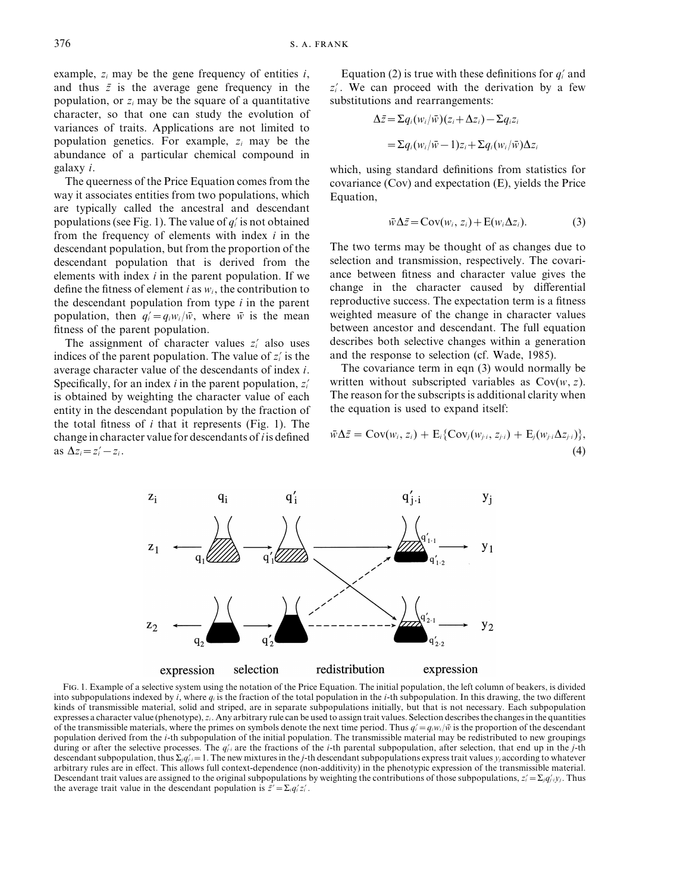example,  $z_i$  may be the gene frequency of entities  $i$ , and thus  $\bar{z}$  is the average gene frequency in the population, or  $z_i$  may be the square of a quantitative character, so that one can study the evolution of variances of traits. Applications are not limited to population genetics. For example, *zi* may be the abundance of a particular chemical compound in galaxy *i*.

The queerness of the Price Equation comes from the way it associates entities from two populations, which are typically called the ancestral and descendant populations (see Fig. 1). The value of *qi* ' is not obtained from the frequency of elements with index *i* in the descendant population, but from the proportion of the descendant population that is derived from the elements with index *i* in the parent population. If we define the fitness of element *i* as  $w_i$ , the contribution to the descendant population from type *i* in the parent population, then  $q_i' = q_i w_i / \bar{w}$ , where  $\bar{w}$  is the mean fitness of the parent population.

The assignment of character values  $z_i$  also uses indices of the parent population. The value of  $z_i$  is the average character value of the descendants of index *i*. Specifically, for an index *i* in the parent population, *zi* ' is obtained by weighting the character value of each entity in the descendant population by the fraction of the total fitness of *i* that it represents (Fig. 1). The change in character value for descendants of *i* is defined as  $\Delta z_i = z'_i - z_i$ .

Equation (2) is true with these definitions for  $q_i$  and *zi* '. We can proceed with the derivation by a few substitutions and rearrangements:

$$
\Delta \bar{z} = \sum q_i (w_i / \bar{w}) (z_i + \Delta z_i) - \sum q_i z_i
$$
  
= 
$$
\sum q_i (w_i / \bar{w} - 1) z_i + \sum q_i (w_i / \bar{w}) \Delta z_i
$$

which, using standard definitions from statistics for covariance (Cov) and expectation (E), yields the Price Equation,

$$
\bar{w}\Delta \bar{z} = \text{Cov}(w_i, z_i) + \text{E}(w_i \Delta z_i). \tag{3}
$$

The two terms may be thought of as changes due to selection and transmission, respectively. The covariance between fitness and character value gives the change in the character caused by differential reproductive success. The expectation term is a fitness weighted measure of the change in character values between ancestor and descendant. The full equation describes both selective changes within a generation and the response to selection (cf. Wade, 1985).

The covariance term in eqn (3) would normally be written without subscripted variables as Cov(*w*, *z*). The reason for the subscripts is additional clarity when the equation is used to expand itself:

$$
\bar{w}\Delta \bar{z} = \text{Cov}(w_i, z_i) + \text{E}_i \{\text{Cov}_j(w_{j \cdot i}, z_{j \cdot i}) + \text{E}_j(w_{j \cdot i}\Delta z_{j \cdot i})\},\tag{4}
$$



FIG. 1. Example of a selective system using the notation of the Price Equation. The initial population, the left column of beakers, is divided into subpopulations indexed by *i*, where *qi* is the fraction of the total population in the *i*-th subpopulation. In this drawing, the two different kinds of transmissible material, solid and striped, are in separate subpopulations initially, but that is not necessary. Each subpopulation expresses a character value (phenotype), *z<sub>i</sub>*. Any arbitrary rule can be used to assign trait values. Selection describes the changes in the quantities of the transmissible materials, where the primes on symbols denote the next time period. Thus  $q_i' = q_i w_i / \bar{w}$  is the proportion of the descendant population derived from the *i*-th subpopulation of the initial population. The transmissible material may be redistributed to new groupings during or after the selective processes. The *qj*'·*<sup>i</sup>* are the fractions of the *i*-th parental subpopulation, after selection, that end up in the *j*-th descendant subpopulation, thus  $\Sigma_i q'_{i\cdot j} = 1$ . The new mixtures in the *j*-th descendant subpopulations express trait values  $y_i$  according to whatever arbitrary rules are in effect. This allows full context-dependence (non-additivity) in the phenotypic expression of the transmissible material. Descendant trait values are assigned to the original subpopulations by weighting the contributions of those subpopulations,  $z_i' = \sum_j q'_{i,j'}$ . Thus the average trait value in the descendant population is  $\bar{z}' = \sum_i q'_i z'_i$ .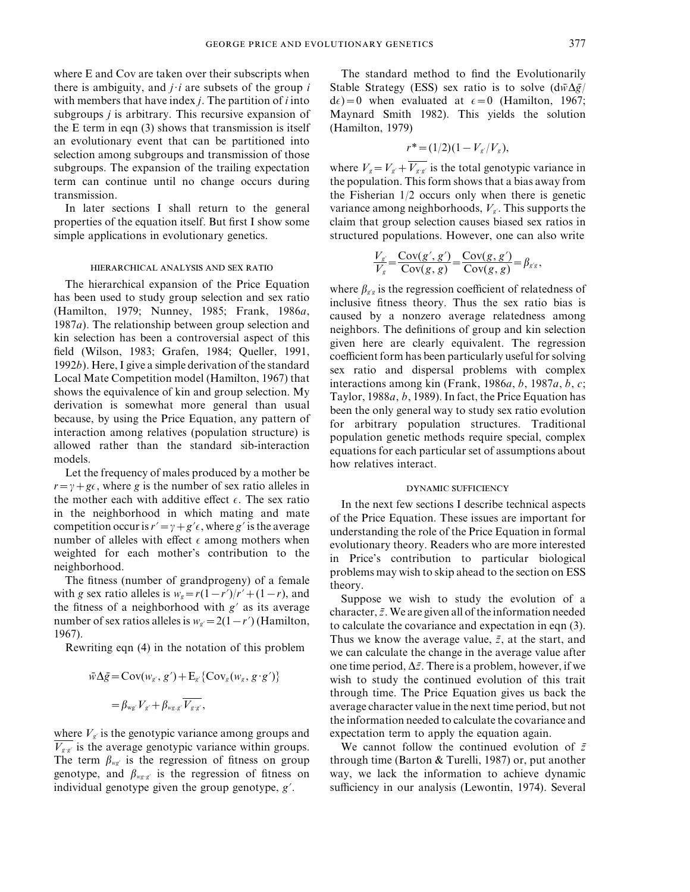where E and Cov are taken over their subscripts when there is ambiguity, and  $j \cdot i$  are subsets of the group  $i$ with members that have index *j*. The partition of *i* into subgroups *j* is arbitrary. This recursive expansion of the E term in eqn (3) shows that transmission is itself an evolutionary event that can be partitioned into selection among subgroups and transmission of those subgroups. The expansion of the trailing expectation term can continue until no change occurs during transmission.

In later sections I shall return to the general properties of the equation itself. But first I show some simple applications in evolutionary genetics.

#### HIERARCHICAL ANALYSIS AND SEX RATIO

The hierarchical expansion of the Price Equation has been used to study group selection and sex ratio (Hamilton, 1979; Nunney, 1985; Frank, 1986*a*, 1987*a*). The relationship between group selection and kin selection has been a controversial aspect of this field (Wilson, 1983; Grafen, 1984; Queller, 1991, 1992*b*). Here, I give a simple derivation of the standard Local Mate Competition model (Hamilton, 1967) that shows the equivalence of kin and group selection. My derivation is somewhat more general than usual because, by using the Price Equation, any pattern of interaction among relatives (population structure) is allowed rather than the standard sib-interaction models.

Let the frequency of males produced by a mother be  $r = \gamma + g\epsilon$ , where *g* is the number of sex ratio alleles in the mother each with additive effect  $\epsilon$ . The sex ratio in the neighborhood in which mating and mate competition occur is  $r' = \gamma + g' \epsilon$ , where *g*' is the average number of alleles with effect  $\epsilon$  among mothers when weighted for each mother's contribution to the neighborhood.

The fitness (number of grandprogeny) of a female with *g* sex ratio alleles is  $w_g = r(1 - r')/r' + (1 - r)$ , and the fitness of a neighborhood with *g*' as its average number of sex ratios alleles is  $w_e = 2(1 - r')$  (Hamilton, 1967).

Rewriting eqn (4) in the notation of this problem

$$
\bar{w}\Delta \bar{g} = \text{Cov}(w_{g'}, g') + \text{E}_{g'} \{\text{Cov}_g(w_g, g \cdot g')\}
$$

$$
= \beta_{wg'} V_{g'} + \beta_{wg,g'} \overline{V_{g'g'}},
$$

where  $V_g$  is the genotypic variance among groups and  $V_{g/g}$  is the average genotypic variance within groups. The term  $\beta_{wg'}$  is the regression of fitness on group genotype, and  $\beta_{\text{wg-g'}}$  is the regression of fitness on individual genotype given the group genotype, *g*'.

The standard method to find the Evolutionarily Stable Strategy (ESS) sex ratio is to solve  $(d\bar{w}\Delta\bar{g})$  $d\epsilon$ )=0 when evaluated at  $\epsilon$ =0 (Hamilton, 1967; Maynard Smith 1982). This yields the solution (Hamilton, 1979)

$$
r^* = (1/2)(1 - V_{g'}/V_g),
$$

where  $V_g = V_{g'} + \overline{V_{g'g'}}$  is the total genotypic variance in the population. This form shows that a bias away from the Fisherian 1/2 occurs only when there is genetic variance among neighborhoods,  $V_g$ . This supports the claim that group selection causes biased sex ratios in structured populations. However, one can also write

$$
\frac{V_{g'}}{V_{g}} = \frac{\text{Cov}(g', g')}{\text{Cov}(g, g)} = \frac{\text{Cov}(g, g')}{\text{Cov}(g, g)} = \beta_{g'g},
$$

where  $\beta_{g'g}$  is the regression coefficient of relatedness of inclusive fitness theory. Thus the sex ratio bias is caused by a nonzero average relatedness among neighbors. The definitions of group and kin selection given here are clearly equivalent. The regression coefficient form has been particularly useful for solving sex ratio and dispersal problems with complex interactions among kin (Frank, 1986*a*, *b*, 1987*a*, *b*, *c*; Taylor, 1988*a*, *b*, 1989). In fact, the Price Equation has been the only general way to study sex ratio evolution for arbitrary population structures. Traditional population genetic methods require special, complex equations for each particular set of assumptions about how relatives interact.

# DYNAMIC SUFFICIENCY

In the next few sections I describe technical aspects of the Price Equation. These issues are important for understanding the role of the Price Equation in formal evolutionary theory. Readers who are more interested in Price's contribution to particular biological problems may wish to skip ahead to the section on ESS theory.

Suppose we wish to study the evolution of a character,  $\bar{z}$ . We are given all of the information needed to calculate the covariance and expectation in eqn (3). Thus we know the average value,  $\bar{z}$ , at the start, and we can calculate the change in the average value after one time period,  $\Delta \bar{z}$ . There is a problem, however, if we wish to study the continued evolution of this trait through time. The Price Equation gives us back the average character value in the next time period, but not the information needed to calculate the covariance and expectation term to apply the equation again.

We cannot follow the continued evolution of  $\bar{z}$ through time (Barton & Turelli, 1987) or, put another way, we lack the information to achieve dynamic sufficiency in our analysis (Lewontin, 1974). Several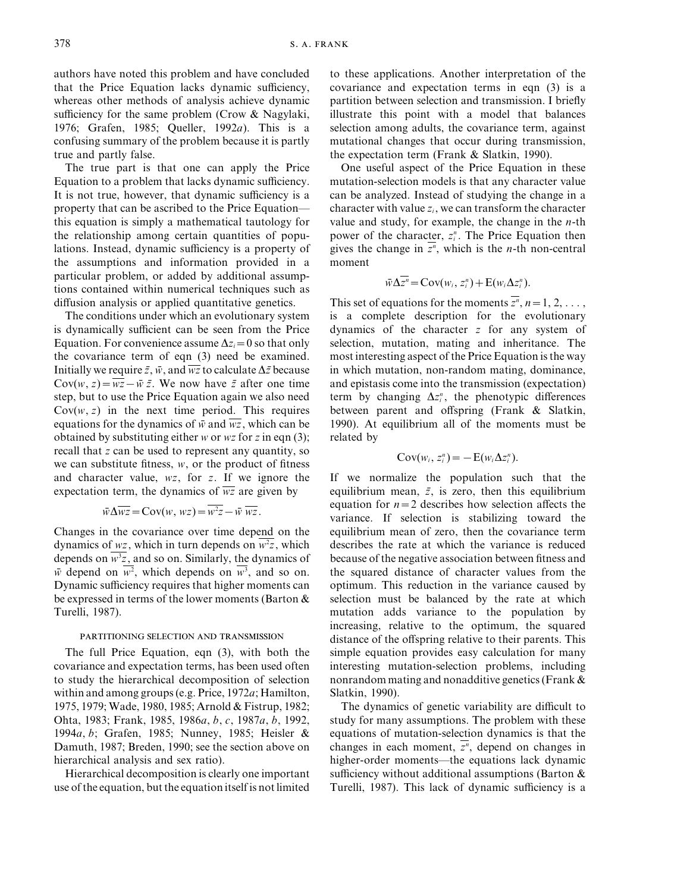authors have noted this problem and have concluded that the Price Equation lacks dynamic sufficiency, whereas other methods of analysis achieve dynamic sufficiency for the same problem (Crow & Nagylaki, 1976; Grafen, 1985; Queller, 1992*a*). This is a confusing summary of the problem because it is partly true and partly false.

The true part is that one can apply the Price Equation to a problem that lacks dynamic sufficiency. It is not true, however, that dynamic sufficiency is a property that can be ascribed to the Price Equation this equation is simply a mathematical tautology for the relationship among certain quantities of populations. Instead, dynamic sufficiency is a property of the assumptions and information provided in a particular problem, or added by additional assumptions contained within numerical techniques such as diffusion analysis or applied quantitative genetics.

The conditions under which an evolutionary system is dynamically sufficient can be seen from the Price Equation. For convenience assume  $\Delta z_i = 0$  so that only the covariance term of eqn (3) need be examined. Initially we require  $\bar{z}$ ,  $\bar{w}$ , and  $\bar{w}\bar{z}$  to calculate  $\Delta\bar{z}$  because  $Cov(w, z) = \overline{wz} - \overline{w}\overline{z}$ . We now have  $\overline{z}$  after one time step, but to use the Price Equation again we also need  $Cov(w, z)$  in the next time period. This requires equations for the dynamics of  $\bar{w}$  and  $\overline{wz}$ , which can be obtained by substituting either *w* or *wz* for *z* in eqn (3); recall that *z* can be used to represent any quantity, so we can substitute fitness, *w*, or the product of fitness and character value, *wz*, for *z*. If we ignore the expectation term, the dynamics of  $\overline{wz}$  are given by

$$
\overline{w}\Delta \overline{wz} = \text{Cov}(w, wz) = \overline{w^2z} - \overline{w} \ \overline{wz}.
$$

Changes in the covariance over time depend on the dynamics of  $wz$ , which in turn depends on  $w^2z$ , which depends on  $w^3z$ , and so on. Similarly, the dynamics of  $\bar{w}$  depend on  $w^2$ , which depends on  $w^3$ , and so on. Dynamic sufficiency requires that higher moments can be expressed in terms of the lower moments (Barton & Turelli, 1987).

### PARTITIONING SELECTION AND TRANSMISSION

The full Price Equation, eqn (3), with both the covariance and expectation terms, has been used often to study the hierarchical decomposition of selection within and among groups (e.g. Price, 1972*a*; Hamilton, 1975, 1979; Wade, 1980, 1985; Arnold & Fistrup, 1982; Ohta, 1983; Frank, 1985, 1986*a*, *b*, *c*, 1987*a*, *b*, 1992, 1994*a*, *b*; Grafen, 1985; Nunney, 1985; Heisler & Damuth, 1987; Breden, 1990; see the section above on hierarchical analysis and sex ratio).

Hierarchical decomposition is clearly one important use of the equation, but the equation itself is not limited to these applications. Another interpretation of the covariance and expectation terms in eqn (3) is a partition between selection and transmission. I briefly illustrate this point with a model that balances selection among adults, the covariance term, against mutational changes that occur during transmission, the expectation term (Frank & Slatkin, 1990).

One useful aspect of the Price Equation in these mutation-selection models is that any character value can be analyzed. Instead of studying the change in a character with value  $z_i$ , we can transform the character value and study, for example, the change in the *n*-th power of the character,  $z_i^n$ . The Price Equation then gives the change in  $z^n$ , which is the *n*-th non-central moment

$$
\overline{w}\Delta \overline{z^n} = \mathrm{Cov}(w_i, z_i^n) + \mathrm{E}(w_i \Delta z_i^n).
$$

This set of equations for the moments  $z^n$ ,  $n = 1, 2, \ldots$ , is a complete description for the evolutionary dynamics of the character *z* for any system of selection, mutation, mating and inheritance. The most interesting aspect of the Price Equation is the way in which mutation, non-random mating, dominance, and epistasis come into the transmission (expectation) term by changing  $\Delta z_i^n$ , the phenotypic differences between parent and offspring (Frank & Slatkin, 1990). At equilibrium all of the moments must be related by

$$
Cov(w_i, z_i^n) = -E(w_i \Delta z_i^n).
$$

If we normalize the population such that the equilibrium mean,  $\bar{z}$ , is zero, then this equilibrium equation for  $n=2$  describes how selection affects the variance. If selection is stabilizing toward the equilibrium mean of zero, then the covariance term describes the rate at which the variance is reduced because of the negative association between fitness and the squared distance of character values from the optimum. This reduction in the variance caused by selection must be balanced by the rate at which mutation adds variance to the population by increasing, relative to the optimum, the squared distance of the offspring relative to their parents. This simple equation provides easy calculation for many interesting mutation-selection problems, including nonrandom mating and nonadditive genetics (Frank & Slatkin, 1990).

The dynamics of genetic variability are difficult to study for many assumptions. The problem with these equations of mutation-selection dynamics is that the changes in each moment,  $z<sup>n</sup>$ , depend on changes in higher-order moments—the equations lack dynamic sufficiency without additional assumptions (Barton & Turelli, 1987). This lack of dynamic sufficiency is a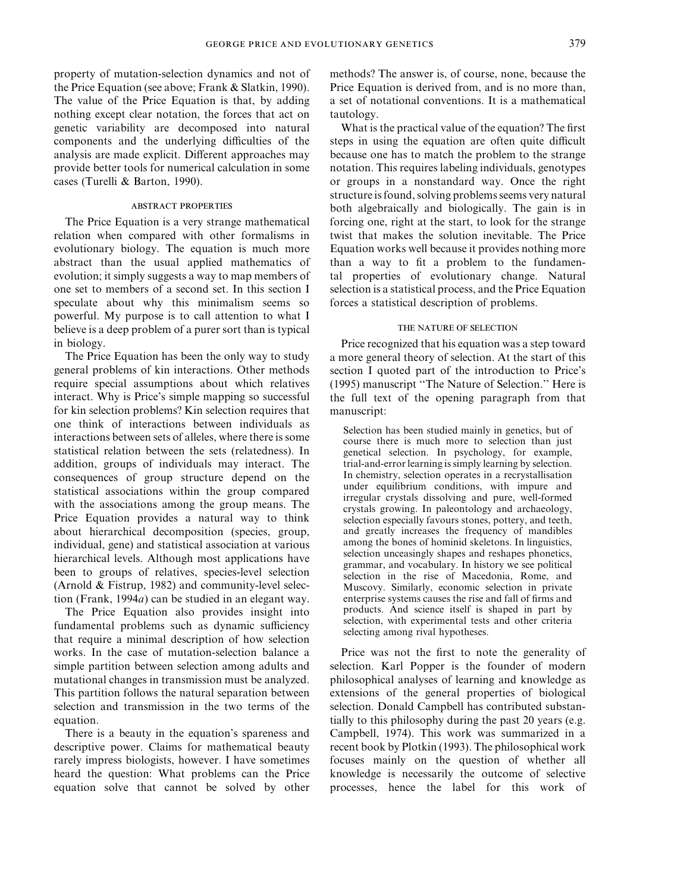property of mutation-selection dynamics and not of the Price Equation (see above; Frank & Slatkin, 1990). The value of the Price Equation is that, by adding nothing except clear notation, the forces that act on genetic variability are decomposed into natural components and the underlying difficulties of the analysis are made explicit. Different approaches may provide better tools for numerical calculation in some cases (Turelli & Barton, 1990).

# ABSTRACT PROPERTIES

The Price Equation is a very strange mathematical relation when compared with other formalisms in evolutionary biology. The equation is much more abstract than the usual applied mathematics of evolution; it simply suggests a way to map members of one set to members of a second set. In this section I speculate about why this minimalism seems so powerful. My purpose is to call attention to what I believe is a deep problem of a purer sort than is typical in biology.

The Price Equation has been the only way to study general problems of kin interactions. Other methods require special assumptions about which relatives interact. Why is Price's simple mapping so successful for kin selection problems? Kin selection requires that one think of interactions between individuals as interactions between sets of alleles, where there is some statistical relation between the sets (relatedness). In addition, groups of individuals may interact. The consequences of group structure depend on the statistical associations within the group compared with the associations among the group means. The Price Equation provides a natural way to think about hierarchical decomposition (species, group, individual, gene) and statistical association at various hierarchical levels. Although most applications have been to groups of relatives, species-level selection (Arnold & Fistrup, 1982) and community-level selection (Frank, 1994*a*) can be studied in an elegant way.

The Price Equation also provides insight into fundamental problems such as dynamic sufficiency that require a minimal description of how selection works. In the case of mutation-selection balance a simple partition between selection among adults and mutational changes in transmission must be analyzed. This partition follows the natural separation between selection and transmission in the two terms of the equation.

There is a beauty in the equation's spareness and descriptive power. Claims for mathematical beauty rarely impress biologists, however. I have sometimes heard the question: What problems can the Price equation solve that cannot be solved by other

methods? The answer is, of course, none, because the Price Equation is derived from, and is no more than, a set of notational conventions. It is a mathematical tautology.

What is the practical value of the equation? The first steps in using the equation are often quite difficult because one has to match the problem to the strange notation. This requires labeling individuals, genotypes or groups in a nonstandard way. Once the right structure is found, solving problems seems very natural both algebraically and biologically. The gain is in forcing one, right at the start, to look for the strange twist that makes the solution inevitable. The Price Equation works well because it provides nothing more than a way to fit a problem to the fundamental properties of evolutionary change. Natural selection is a statistical process, and the Price Equation forces a statistical description of problems.

# THE NATURE OF SELECTION

Price recognized that his equation was a step toward a more general theory of selection. At the start of this section I quoted part of the introduction to Price's (1995) manuscript ''The Nature of Selection.'' Here is the full text of the opening paragraph from that manuscript:

Selection has been studied mainly in genetics, but of course there is much more to selection than just genetical selection. In psychology, for example, trial-and-error learning is simply learning by selection. In chemistry, selection operates in a recrystallisation under equilibrium conditions, with impure and irregular crystals dissolving and pure, well-formed crystals growing. In paleontology and archaeology, selection especially favours stones, pottery, and teeth, and greatly increases the frequency of mandibles among the bones of hominid skeletons. In linguistics, selection unceasingly shapes and reshapes phonetics, grammar, and vocabulary. In history we see political selection in the rise of Macedonia, Rome, and Muscovy. Similarly, economic selection in private enterprise systems causes the rise and fall of firms and products. And science itself is shaped in part by selection, with experimental tests and other criteria selecting among rival hypotheses.

Price was not the first to note the generality of selection. Karl Popper is the founder of modern philosophical analyses of learning and knowledge as extensions of the general properties of biological selection. Donald Campbell has contributed substantially to this philosophy during the past 20 years (e.g. Campbell, 1974). This work was summarized in a recent book by Plotkin (1993). The philosophical work focuses mainly on the question of whether all knowledge is necessarily the outcome of selective processes, hence the label for this work of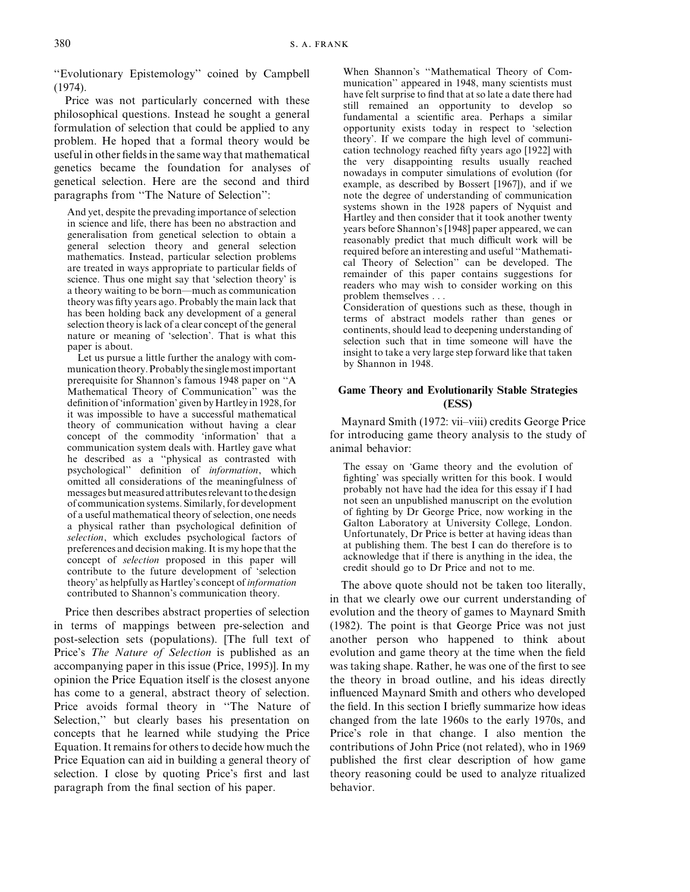''Evolutionary Epistemology'' coined by Campbell (1974).

Price was not particularly concerned with these philosophical questions. Instead he sought a general formulation of selection that could be applied to any problem. He hoped that a formal theory would be useful in other fields in the same way that mathematical genetics became the foundation for analyses of genetical selection. Here are the second and third paragraphs from ''The Nature of Selection'':

And yet, despite the prevading importance of selection in science and life, there has been no abstraction and generalisation from genetical selection to obtain a general selection theory and general selection mathematics. Instead, particular selection problems are treated in ways appropriate to particular fields of science. Thus one might say that 'selection theory' is a theory waiting to be born—much as communication theory was fifty years ago. Probably the main lack that has been holding back any development of a general selection theory is lack of a clear concept of the general nature or meaning of 'selection'. That is what this paper is about.

Let us pursue a little further the analogy with communication theory. Probably the single most important prerequisite for Shannon's famous 1948 paper on ''A Mathematical Theory of Communication'' was the definition of 'information' given by Hartley in 1928, for it was impossible to have a successful mathematical theory of communication without having a clear concept of the commodity 'information' that a communication system deals with. Hartley gave what he described as a ''physical as contrasted with psychological'' definition of *information*, which omitted all considerations of the meaningfulness of messages but measured attributes relevant to the design ofcommunicationsystems.Similarly,fordevelopment of a useful mathematical theory of selection, one needs a physical rather than psychological definition of *selection*, which excludes psychological factors of preferences and decision making. It is my hope that the concept of *selection* proposed in this paper will contribute to the future development of 'selection theory' as helpfully as Hartley's concept of *information* contributed to Shannon's communication theory.

Price then describes abstract properties of selection in terms of mappings between pre-selection and post-selection sets (populations). [The full text of Price's *The Nature of Selection* is published as an accompanying paper in this issue (Price, 1995)]. In my opinion the Price Equation itself is the closest anyone has come to a general, abstract theory of selection. Price avoids formal theory in ''The Nature of Selection,'' but clearly bases his presentation on concepts that he learned while studying the Price Equation. It remains for others to decide how much the Price Equation can aid in building a general theory of selection. I close by quoting Price's first and last paragraph from the final section of his paper.

When Shannon's ''Mathematical Theory of Communication'' appeared in 1948, many scientists must have felt surprise to find that at so late a date there had still remained an opportunity to develop so fundamental a scientific area. Perhaps a similar opportunity exists today in respect to 'selection theory'. If we compare the high level of communication technology reached fifty years ago [1922] with the very disappointing results usually reached nowadays in computer simulations of evolution (for example, as described by Bossert [1967]), and if we note the degree of understanding of communication systems shown in the 1928 papers of Nyquist and Hartley and then consider that it took another twenty years before Shannon's [1948] paper appeared, we can reasonably predict that much difficult work will be required before an interesting and useful ''Mathematical Theory of Selection'' can be developed. The remainder of this paper contains suggestions for readers who may wish to consider working on this problem themselves . . .

Consideration of questions such as these, though in terms of abstract models rather than genes or continents, should lead to deepening understanding of selection such that in time someone will have the insight to take a very large step forward like that taken by Shannon in 1948.

# Game Theory and Evolutionarily Stable Strategies (ESS)

Maynard Smith (1972: vii–viii) credits George Price for introducing game theory analysis to the study of animal behavior:

The essay on 'Game theory and the evolution of fighting' was specially written for this book. I would probably not have had the idea for this essay if I had not seen an unpublished manuscript on the evolution of fighting by Dr George Price, now working in the Galton Laboratory at University College, London. Unfortunately, Dr Price is better at having ideas than at publishing them. The best I can do therefore is to acknowledge that if there is anything in the idea, the credit should go to Dr Price and not to me.

The above quote should not be taken too literally, in that we clearly owe our current understanding of evolution and the theory of games to Maynard Smith (1982). The point is that George Price was not just another person who happened to think about evolution and game theory at the time when the field was taking shape. Rather, he was one of the first to see the theory in broad outline, and his ideas directly influenced Maynard Smith and others who developed the field. In this section I briefly summarize how ideas changed from the late 1960s to the early 1970s, and Price's role in that change. I also mention the contributions of John Price (not related), who in 1969 published the first clear description of how game theory reasoning could be used to analyze ritualized behavior.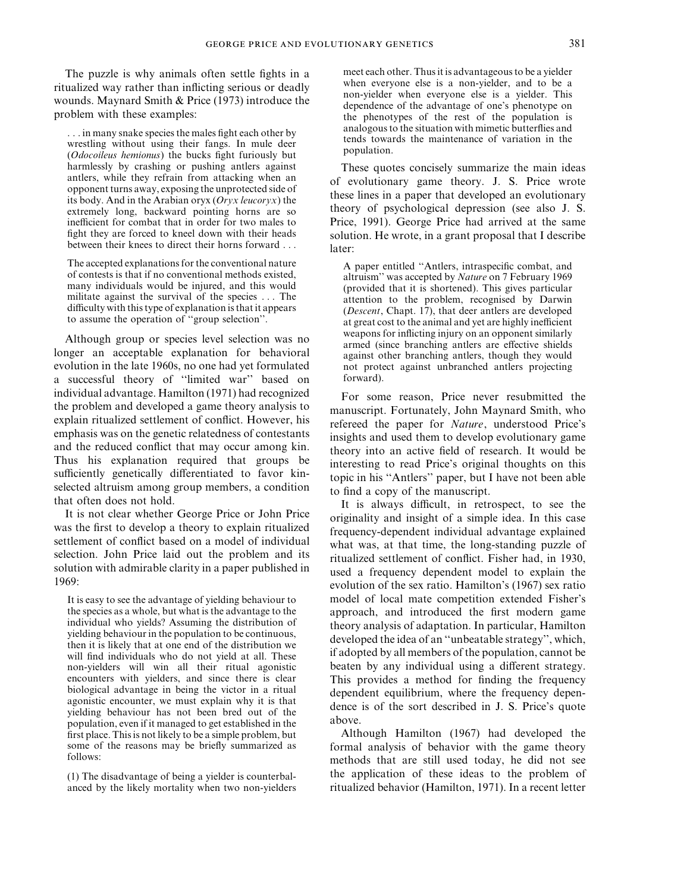The puzzle is why animals often settle fights in a ritualized way rather than inflicting serious or deadly wounds. Maynard Smith & Price (1973) introduce the problem with these examples:

. . . in many snake species the males fight each other by wrestling without using their fangs. In mule deer (*Odocoileus hemionus*) the bucks fight furiously but harmlessly by crashing or pushing antlers against antlers, while they refrain from attacking when an opponent turns away, exposing the unprotected side of its body. And in the Arabian oryx (*Oryx leucoryx*) the extremely long, backward pointing horns are so inefficient for combat that in order for two males to fight they are forced to kneel down with their heads between their knees to direct their horns forward . . .

The accepted explanations for the conventional nature of contests is that if no conventional methods existed, many individuals would be injured, and this would militate against the survival of the species . . . The difficulty with this type of explanation is that it appears to assume the operation of ''group selection''.

Although group or species level selection was no longer an acceptable explanation for behavioral evolution in the late 1960s, no one had yet formulated a successful theory of ''limited war'' based on individual advantage. Hamilton (1971) had recognized the problem and developed a game theory analysis to explain ritualized settlement of conflict. However, his emphasis was on the genetic relatedness of contestants and the reduced conflict that may occur among kin. Thus his explanation required that groups be sufficiently genetically differentiated to favor kinselected altruism among group members, a condition that often does not hold.

It is not clear whether George Price or John Price was the first to develop a theory to explain ritualized settlement of conflict based on a model of individual selection. John Price laid out the problem and its solution with admirable clarity in a paper published in 1969:

It is easy to see the advantage of yielding behaviour to the species as a whole, but what is the advantage to the individual who yields? Assuming the distribution of yielding behaviour in the population to be continuous, then it is likely that at one end of the distribution we will find individuals who do not yield at all. These non-yielders will win all their ritual agonistic encounters with yielders, and since there is clear biological advantage in being the victor in a ritual agonistic encounter, we must explain why it is that yielding behaviour has not been bred out of the population, even if it managed to get established in the first place. This is not likely to be a simple problem, but some of the reasons may be briefly summarized as follows:

(1) The disadvantage of being a yielder is counterbalanced by the likely mortality when two non-yielders

meet each other. Thus it is advantageous to be a yielder when everyone else is a non-yielder, and to be a non-yielder when everyone else is a yielder. This dependence of the advantage of one's phenotype on the phenotypes of the rest of the population is analogous to the situation with mimetic butterflies and tends towards the maintenance of variation in the population.

These quotes concisely summarize the main ideas of evolutionary game theory. J. S. Price wrote these lines in a paper that developed an evolutionary theory of psychological depression (see also J. S. Price, 1991). George Price had arrived at the same solution. He wrote, in a grant proposal that I describe later:

A paper entitled ''Antlers, intraspecific combat, and altruism'' was accepted by *Nature* on 7 February 1969 (provided that it is shortened). This gives particular attention to the problem, recognised by Darwin (*Descent*, Chapt. 17), that deer antlers are developed at great cost to the animal and yet are highly inefficient weapons for inflicting injury on an opponent similarly armed (since branching antlers are effective shields against other branching antlers, though they would not protect against unbranched antlers projecting forward).

For some reason, Price never resubmitted the manuscript. Fortunately, John Maynard Smith, who refereed the paper for *Nature*, understood Price's insights and used them to develop evolutionary game theory into an active field of research. It would be interesting to read Price's original thoughts on this topic in his ''Antlers'' paper, but I have not been able to find a copy of the manuscript.

It is always difficult, in retrospect, to see the originality and insight of a simple idea. In this case frequency-dependent individual advantage explained what was, at that time, the long-standing puzzle of ritualized settlement of conflict. Fisher had, in 1930, used a frequency dependent model to explain the evolution of the sex ratio. Hamilton's (1967) sex ratio model of local mate competition extended Fisher's approach, and introduced the first modern game theory analysis of adaptation. In particular, Hamilton developed the idea of an ''unbeatable strategy'', which, if adopted by all members of the population, cannot be beaten by any individual using a different strategy. This provides a method for finding the frequency dependent equilibrium, where the frequency dependence is of the sort described in J. S. Price's quote above.

Although Hamilton (1967) had developed the formal analysis of behavior with the game theory methods that are still used today, he did not see the application of these ideas to the problem of ritualized behavior (Hamilton, 1971). In a recent letter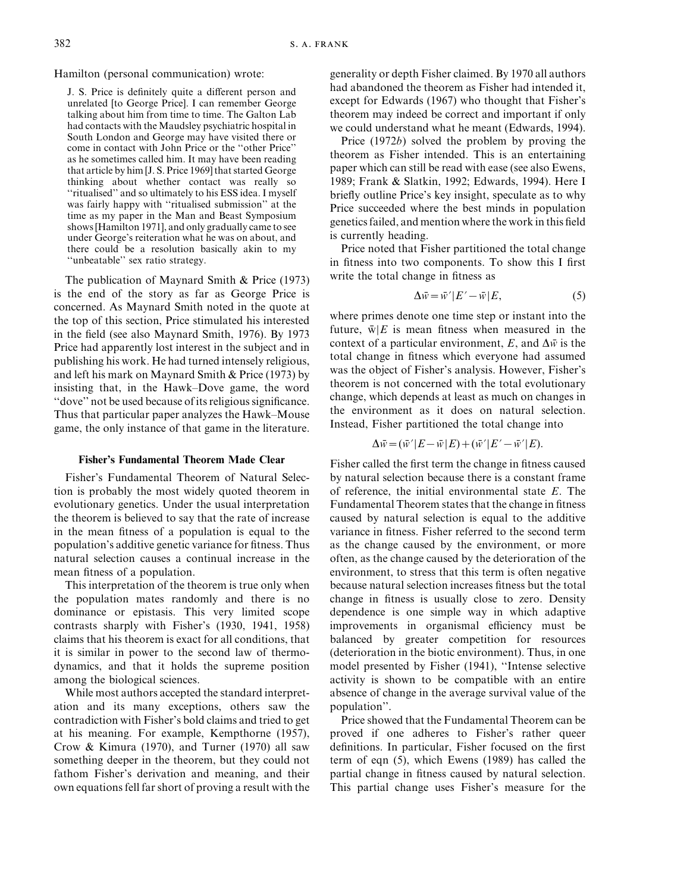Hamilton (personal communication) wrote:

J. S. Price is definitely quite a different person and unrelated [to George Price]. I can remember George talking about him from time to time. The Galton Lab had contacts with the Maudsley psychiatric hospital in South London and George may have visited there or come in contact with John Price or the ''other Price'' as he sometimes called him. It may have been reading that article by him [J. S. Price 1969] that started George thinking about whether contact was really so ''ritualised'' and so ultimately to his ESS idea. I myself was fairly happy with ''ritualised submission'' at the time as my paper in the Man and Beast Symposium shows [Hamilton 1971], and only gradually came to see under George's reiteration what he was on about, and there could be a resolution basically akin to my ''unbeatable'' sex ratio strategy.

The publication of Maynard Smith & Price (1973) is the end of the story as far as George Price is concerned. As Maynard Smith noted in the quote at the top of this section, Price stimulated his interested in the field (see also Maynard Smith, 1976). By 1973 Price had apparently lost interest in the subject and in publishing his work. He had turned intensely religious, and left his mark on Maynard Smith & Price (1973) by insisting that, in the Hawk–Dove game, the word ''dove'' not be used because of its religious significance. Thus that particular paper analyzes the Hawk–Mouse game, the only instance of that game in the literature.

#### Fisher's Fundamental Theorem Made Clear

Fisher's Fundamental Theorem of Natural Selection is probably the most widely quoted theorem in evolutionary genetics. Under the usual interpretation the theorem is believed to say that the rate of increase in the mean fitness of a population is equal to the population's additive genetic variance for fitness. Thus natural selection causes a continual increase in the mean fitness of a population.

This interpretation of the theorem is true only when the population mates randomly and there is no dominance or epistasis. This very limited scope contrasts sharply with Fisher's (1930, 1941, 1958) claims that his theorem is exact for all conditions, that it is similar in power to the second law of thermodynamics, and that it holds the supreme position among the biological sciences.

While most authors accepted the standard interpretation and its many exceptions, others saw the contradiction with Fisher's bold claims and tried to get at his meaning. For example, Kempthorne (1957), Crow & Kimura (1970), and Turner (1970) all saw something deeper in the theorem, but they could not fathom Fisher's derivation and meaning, and their own equations fell far short of proving a result with the generality or depth Fisher claimed. By 1970 all authors had abandoned the theorem as Fisher had intended it, except for Edwards (1967) who thought that Fisher's theorem may indeed be correct and important if only we could understand what he meant (Edwards, 1994).

Price (1972*b*) solved the problem by proving the theorem as Fisher intended. This is an entertaining paper which can still be read with ease (see also Ewens, 1989; Frank & Slatkin, 1992; Edwards, 1994). Here I briefly outline Price's key insight, speculate as to why Price succeeded where the best minds in population genetics failed, and mention where the work in this field is currently heading.

Price noted that Fisher partitioned the total change in fitness into two components. To show this I first write the total change in fitness as

$$
\Delta \bar{w} = \bar{w}' | E' - \bar{w} | E,\tag{5}
$$

where primes denote one time step or instant into the future,  $\bar{w}$  *E* is mean fitness when measured in the context of a particular environment, *E*, and  $\Delta \bar{w}$  is the total change in fitness which everyone had assumed was the object of Fisher's analysis. However, Fisher's theorem is not concerned with the total evolutionary change, which depends at least as much on changes in the environment as it does on natural selection. Instead, Fisher partitioned the total change into

$$
\Delta \bar{w} = (\bar{w}'|E - \bar{w}|E) + (\bar{w}'|E' - \bar{w}'|E).
$$

Fisher called the first term the change in fitness caused by natural selection because there is a constant frame of reference, the initial environmental state *E*. The Fundamental Theorem states that the change in fitness caused by natural selection is equal to the additive variance in fitness. Fisher referred to the second term as the change caused by the environment, or more often, as the change caused by the deterioration of the environment, to stress that this term is often negative because natural selection increases fitness but the total change in fitness is usually close to zero. Density dependence is one simple way in which adaptive improvements in organismal efficiency must be balanced by greater competition for resources (deterioration in the biotic environment). Thus, in one model presented by Fisher (1941), ''Intense selective activity is shown to be compatible with an entire absence of change in the average survival value of the population''.

Price showed that the Fundamental Theorem can be proved if one adheres to Fisher's rather queer definitions. In particular, Fisher focused on the first term of eqn (5), which Ewens (1989) has called the partial change in fitness caused by natural selection. This partial change uses Fisher's measure for the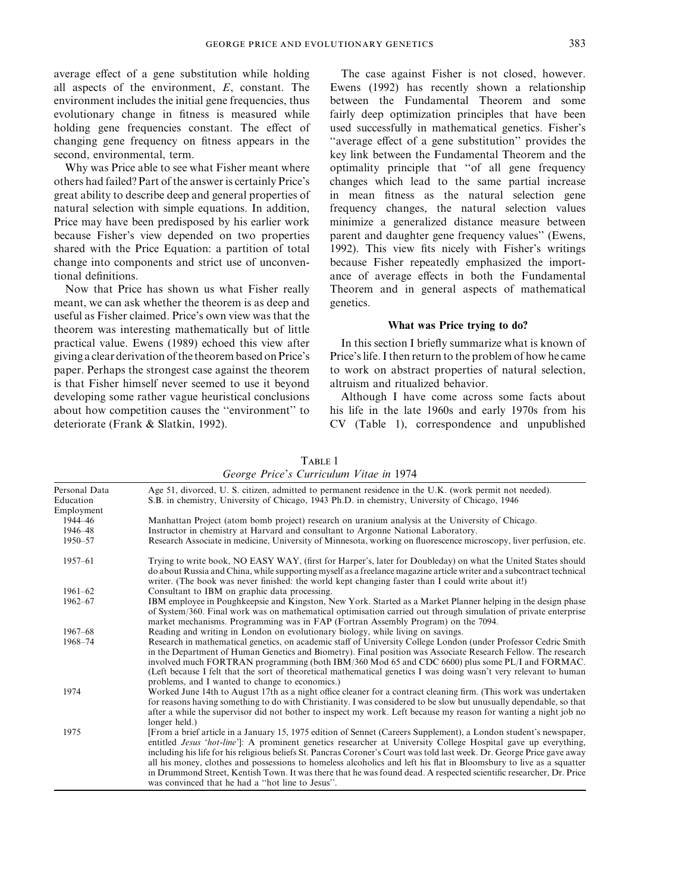average effect of a gene substitution while holding all aspects of the environment, *E*, constant. The environment includes the initial gene frequencies, thus evolutionary change in fitness is measured while holding gene frequencies constant. The effect of changing gene frequency on fitness appears in the second, environmental, term.

Why was Price able to see what Fisher meant where others had failed? Part of the answer is certainly Price's great ability to describe deep and general properties of natural selection with simple equations. In addition, Price may have been predisposed by his earlier work because Fisher's view depended on two properties shared with the Price Equation: a partition of total change into components and strict use of unconventional definitions.

Now that Price has shown us what Fisher really meant, we can ask whether the theorem is as deep and useful as Fisher claimed. Price's own view was that the theorem was interesting mathematically but of little practical value. Ewens (1989) echoed this view after givingaclearderivationofthetheorembasedonPrice's paper. Perhaps the strongest case against the theorem is that Fisher himself never seemed to use it beyond developing some rather vague heuristical conclusions about how competition causes the ''environment'' to deteriorate (Frank & Slatkin, 1992).

The case against Fisher is not closed, however. Ewens (1992) has recently shown a relationship between the Fundamental Theorem and some fairly deep optimization principles that have been used successfully in mathematical genetics. Fisher's "average effect of a gene substitution" provides the key link between the Fundamental Theorem and the optimality principle that ''of all gene frequency changes which lead to the same partial increase in mean fitness as the natural selection gene frequency changes, the natural selection values minimize a generalized distance measure between parent and daughter gene frequency values'' (Ewens, 1992). This view fits nicely with Fisher's writings because Fisher repeatedly emphasized the importance of average effects in both the Fundamental Theorem and in general aspects of mathematical genetics.

# What was Price trying to do?

In this section I briefly summarize what is known of Price's life. I then return to the problem of how he came to work on abstract properties of natural selection, altruism and ritualized behavior.

Although I have come across some facts about his life in the late 1960s and early 1970s from his CV (Table 1), correspondence and unpublished

| Personal Data | Age 51, divorced, U.S. citizen, admitted to permanent residence in the U.K. (work permit not needed).                                                                                                                                                                                                                                                                                                                                                                                                                                                                                                                                                            |
|---------------|------------------------------------------------------------------------------------------------------------------------------------------------------------------------------------------------------------------------------------------------------------------------------------------------------------------------------------------------------------------------------------------------------------------------------------------------------------------------------------------------------------------------------------------------------------------------------------------------------------------------------------------------------------------|
| Education     | S.B. in chemistry, University of Chicago, 1943 Ph.D. in chemistry, University of Chicago, 1946                                                                                                                                                                                                                                                                                                                                                                                                                                                                                                                                                                   |
| Employment    |                                                                                                                                                                                                                                                                                                                                                                                                                                                                                                                                                                                                                                                                  |
| 1944-46       | Manhattan Project (atom bomb project) research on uranium analysis at the University of Chicago.                                                                                                                                                                                                                                                                                                                                                                                                                                                                                                                                                                 |
| 1946-48       | Instructor in chemistry at Harvard and consultant to Argonne National Laboratory.                                                                                                                                                                                                                                                                                                                                                                                                                                                                                                                                                                                |
| 1950-57       | Research Associate in medicine, University of Minnesota, working on fluorescence microscopy, liver perfusion, etc.                                                                                                                                                                                                                                                                                                                                                                                                                                                                                                                                               |
| $1957 - 61$   | Trying to write book, NO EASY WAY, (first for Harper's, later for Doubleday) on what the United States should<br>do about Russia and China, while supporting myself as a freelance magazine article writer and a subcontract technical<br>writer. (The book was never finished: the world kept changing faster than I could write about it!)                                                                                                                                                                                                                                                                                                                     |
| $1961 - 62$   | Consultant to IBM on graphic data processing.                                                                                                                                                                                                                                                                                                                                                                                                                                                                                                                                                                                                                    |
| $1962 - 67$   | IBM employee in Poughkeepsie and Kingston, New York. Started as a Market Planner helping in the design phase<br>of System/360. Final work was on mathematical optimisation carried out through simulation of private enterprise<br>market mechanisms. Programming was in FAP (Fortran Assembly Program) on the 7094.                                                                                                                                                                                                                                                                                                                                             |
| 1967-68       | Reading and writing in London on evolutionary biology, while living on savings.                                                                                                                                                                                                                                                                                                                                                                                                                                                                                                                                                                                  |
| 1968-74       | Research in mathematical genetics, on academic staff of University College London (under Professor Cedric Smith<br>in the Department of Human Genetics and Biometry). Final position was Associate Research Fellow. The research<br>involved much FORTRAN programming (both IBM/360 Mod 65 and CDC 6600) plus some PL/I and FORMAC.<br>(Left because I felt that the sort of theoretical mathematical genetics I was doing wasn't very relevant to human<br>problems, and I wanted to change to economics.)                                                                                                                                                      |
| 1974          | Worked June 14th to August 17th as a night office cleaner for a contract cleaning firm. (This work was undertaken<br>for reasons having something to do with Christianity. I was considered to be slow but unusually dependable, so that<br>after a while the supervisor did not bother to inspect my work. Left because my reason for wanting a night job no<br>longer held.)                                                                                                                                                                                                                                                                                   |
| 1975          | [From a brief article in a January 15, 1975 edition of Sennet (Careers Supplement), a London student's newspaper,<br>entitled Jesus 'hot-line'): A prominent genetics researcher at University College Hospital gave up everything,<br>including his life for his religious beliefs St. Pancras Coroner's Court was told last week. Dr. George Price gave away<br>all his money, clothes and possessions to homeless alcoholics and left his flat in Bloomsbury to live as a squatter<br>in Drummond Street, Kentish Town. It was there that he was found dead. A respected scientific researcher, Dr. Price<br>was convinced that he had a "hot line to Jesus". |

### TABLE 1 *George Price*'*s Curriculum Vitae in* 1974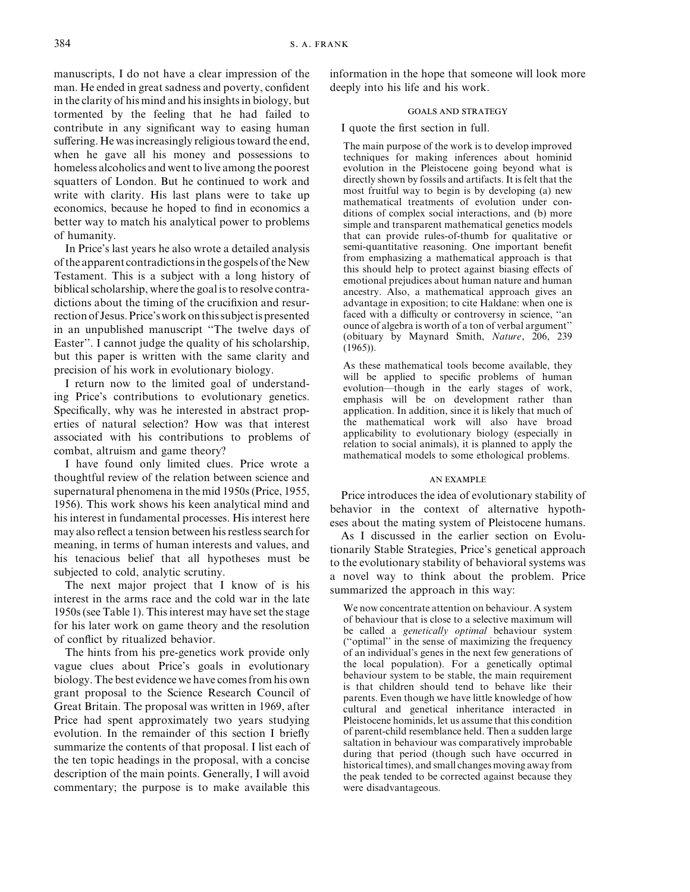manuscripts, I do not have a clear impression of the man. He ended in great sadness and poverty, confident in the clarity of his mind and his insights in biology, but tormented by the feeling that he had failed to contribute in any significant way to easing human suffering. He was increasingly religious toward the end, when he gave all his money and possessions to homeless alcoholics and went to live among the poorest squatters of London. But he continued to work and write with clarity. His last plans were to take up economics, because he hoped to find in economics a better way to match his analytical power to problems of humanity.

In Price's last years he also wrote a detailed analysis of the apparent contradictions in the gospels of the New Testament. This is a subject with a long history of biblical scholarship, where the goal is to resolve contradictions about the timing of the crucifixion and resurrectionofJesus.Price'sworkonthissubjectispresented in an unpublished manuscript ''The twelve days of Easter''. I cannot judge the quality of his scholarship, but this paper is written with the same clarity and precision of his work in evolutionary biology.

I return now to the limited goal of understanding Price's contributions to evolutionary genetics. Specifically, why was he interested in abstract properties of natural selection? How was that interest associated with his contributions to problems of combat, altruism and game theory?

I have found only limited clues. Price wrote a thoughtful review of the relation between science and supernatural phenomena in the mid 1950s (Price, 1955, 1956). This work shows his keen analytical mind and his interest in fundamental processes. His interest here may also reflect a tension between his restless search for meaning, in terms of human interests and values, and his tenacious belief that all hypotheses must be subjected to cold, analytic scrutiny.

The next major project that I know of is his interest in the arms race and the cold war in the late 1950s (see Table 1). This interest may have set the stage for his later work on game theory and the resolution of conflict by ritualized behavior.

The hints from his pre-genetics work provide only vague clues about Price's goals in evolutionary biology. The best evidence we have comes from his own grant proposal to the Science Research Council of Great Britain. The proposal was written in 1969, after Price had spent approximately two years studying evolution. In the remainder of this section I briefly summarize the contents of that proposal. I list each of the ten topic headings in the proposal, with a concise description of the main points. Generally, I will avoid commentary; the purpose is to make available this information in the hope that someone will look more deeply into his life and his work.

### GOALS AND STRATEGY

I quote the first section in full.

The main purpose of the work is to develop improved techniques for making inferences about hominid evolution in the Pleistocene going beyond what is directly shown by fossils and artifacts. It is felt that the most fruitful way to begin is by developing (a) new mathematical treatments of evolution under conditions of complex social interactions, and (b) more simple and transparent mathematical genetics models that can provide rules-of-thumb for qualitative or semi-quantitative reasoning. One important benefit from emphasizing a mathematical approach is that this should help to protect against biasing effects of emotional prejudices about human nature and human ancestry. Also, a mathematical approach gives an advantage in exposition; to cite Haldane: when one is faced with a difficulty or controversy in science, ''an ounce of algebra is worth of a ton of verbal argument'' (obituary by Maynard Smith, *Nature*, 206, 239 (1965)).

As these mathematical tools become available, they will be applied to specific problems of human evolution—though in the early stages of work, emphasis will be on development rather than application. In addition, since it is likely that much of the mathematical work will also have broad applicability to evolutionary biology (especially in relation to social animals), it is planned to apply the mathematical models to some ethological problems.

#### **AN EXAMPLE**

Price introduces the idea of evolutionary stability of behavior in the context of alternative hypotheses about the mating system of Pleistocene humans. As I discussed in the earlier section on Evolutionarily Stable Strategies, Price's genetical approach to the evolutionary stability of behavioral systems was a novel way to think about the problem. Price summarized the approach in this way:

We now concentrate attention on behaviour. A system of behaviour that is close to a selective maximum will be called a *genetically optimal* behaviour system (''optimal'' in the sense of maximizing the frequency of an individual's genes in the next few generations of the local population). For a genetically optimal behaviour system to be stable, the main requirement is that children should tend to behave like their parents. Even though we have little knowledge of how cultural and genetical inheritance interacted in Pleistocene hominids, let us assume that this condition of parent-child resemblance held. Then a sudden large saltation in behaviour was comparatively improbable during that period (though such have occurred in historical times), and small changes moving away from the peak tended to be corrected against because they were disadvantageous.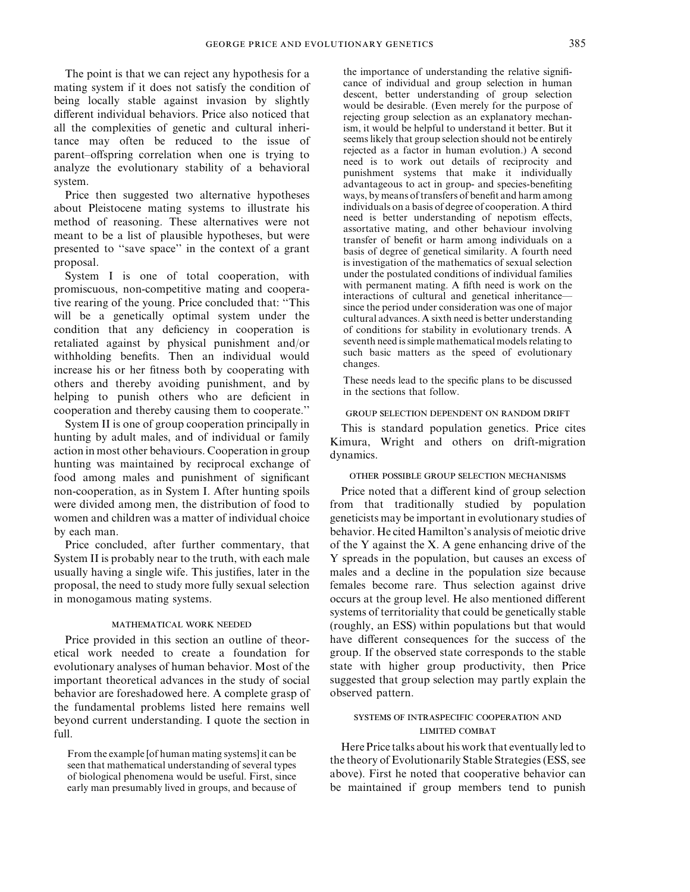The point is that we can reject any hypothesis for a mating system if it does not satisfy the condition of being locally stable against invasion by slightly different individual behaviors. Price also noticed that all the complexities of genetic and cultural inheritance may often be reduced to the issue of parent–offspring correlation when one is trying to analyze the evolutionary stability of a behavioral system.

Price then suggested two alternative hypotheses about Pleistocene mating systems to illustrate his method of reasoning. These alternatives were not meant to be a list of plausible hypotheses, but were presented to ''save space'' in the context of a grant proposal.

System I is one of total cooperation, with promiscuous, non-competitive mating and cooperative rearing of the young. Price concluded that: ''This will be a genetically optimal system under the condition that any deficiency in cooperation is retaliated against by physical punishment and/or withholding benefits. Then an individual would increase his or her fitness both by cooperating with others and thereby avoiding punishment, and by helping to punish others who are deficient in cooperation and thereby causing them to cooperate.''

System II is one of group cooperation principally in hunting by adult males, and of individual or family action in most other behaviours. Cooperation in group hunting was maintained by reciprocal exchange of food among males and punishment of significant non-cooperation, as in System I. After hunting spoils were divided among men, the distribution of food to women and children was a matter of individual choice by each man.

Price concluded, after further commentary, that System II is probably near to the truth, with each male usually having a single wife. This justifies, later in the proposal, the need to study more fully sexual selection in monogamous mating systems.

# MATHEMATICAL WORK NEEDED

Price provided in this section an outline of theoretical work needed to create a foundation for evolutionary analyses of human behavior. Most of the important theoretical advances in the study of social behavior are foreshadowed here. A complete grasp of the fundamental problems listed here remains well beyond current understanding. I quote the section in full.

From the example [of human mating systems] it can be seen that mathematical understanding of several types of biological phenomena would be useful. First, since early man presumably lived in groups, and because of

the importance of understanding the relative significance of individual and group selection in human descent, better understanding of group selection would be desirable. (Even merely for the purpose of rejecting group selection as an explanatory mechanism, it would be helpful to understand it better. But it seems likely that group selection should not be entirely rejected as a factor in human evolution.) A second need is to work out details of reciprocity and punishment systems that make it individually advantageous to act in group- and species-benefiting ways, by means of transfers of benefit and harm among individuals on a basis of degree of cooperation. A third need is better understanding of nepotism effects, assortative mating, and other behaviour involving transfer of benefit or harm among individuals on a basis of degree of genetical similarity. A fourth need is investigation of the mathematics of sexual selection under the postulated conditions of individual families with permanent mating. A fifth need is work on the interactions of cultural and genetical inheritance since the period under consideration was one of major cultural advances. A sixth need is better understanding of conditions for stability in evolutionary trends. A seventh need is simple mathematical models relating to such basic matters as the speed of evolutionary changes.

These needs lead to the specific plans to be discussed in the sections that follow.

#### **GROUP SELECTION DEPENDENT ON RANDOM DRIFT**

This is standard population genetics. Price cites Kimura, Wright and others on drift-migration dynamics.

# OTHER POSSIBLE GROUP SELECTION MECHANISMS

Price noted that a different kind of group selection from that traditionally studied by population geneticists may be important in evolutionary studies of behavior. He cited Hamilton's analysis of meiotic drive of the Y against the X. A gene enhancing drive of the Y spreads in the population, but causes an excess of males and a decline in the population size because females become rare. Thus selection against drive occurs at the group level. He also mentioned different systems of territoriality that could be genetically stable (roughly, an ESS) within populations but that would have different consequences for the success of the group. If the observed state corresponds to the stable state with higher group productivity, then Price suggested that group selection may partly explain the observed pattern.

# SYSTEMS OF INTRASPECIFIC COOPERATION AND **LIMITED COMBAT**

Here Price talks about his work that eventually led to the theory of Evolutionarily Stable Strategies (ESS, see above). First he noted that cooperative behavior can be maintained if group members tend to punish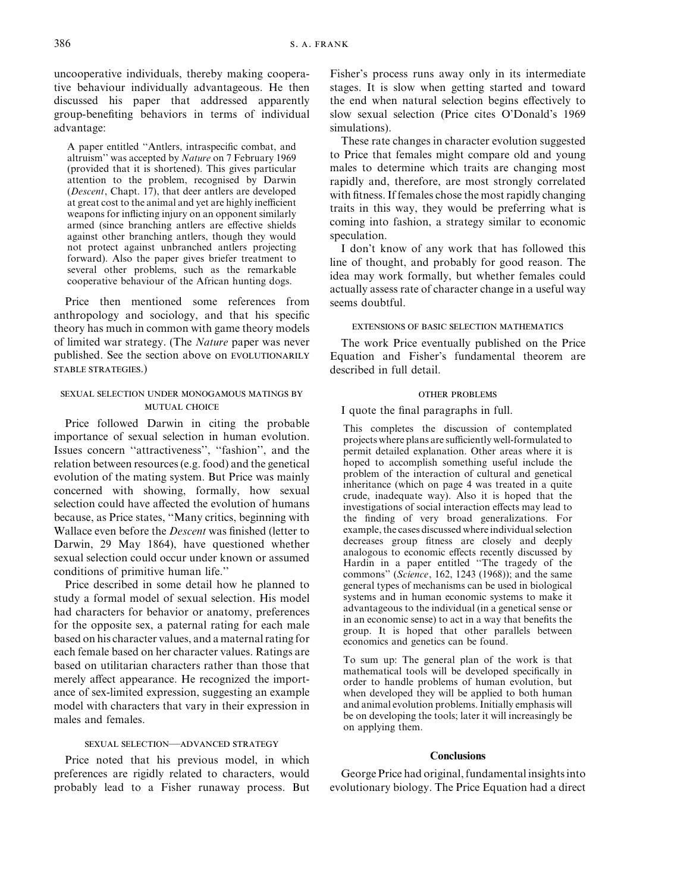uncooperative individuals, thereby making cooperative behaviour individually advantageous. He then discussed his paper that addressed apparently group-benefiting behaviors in terms of individual advantage:

A paper entitled ''Antlers, intraspecific combat, and altruism'' was accepted by *Nature* on 7 February 1969 (provided that it is shortened). This gives particular attention to the problem, recognised by Darwin (*Descent*, Chapt. 17), that deer antlers are developed at great cost to the animal and yet are highly inefficient weapons for inflicting injury on an opponent similarly armed (since branching antlers are effective shields against other branching antlers, though they would not protect against unbranched antlers projecting forward). Also the paper gives briefer treatment to several other problems, such as the remarkable cooperative behaviour of the African hunting dogs.

Price then mentioned some references from anthropology and sociology, and that his specific theory has much in common with game theory models of limited war strategy. (The *Nature* paper was never published. See the section above on STABLE STRATEGIES.)

# SEXUAL SELECTION UNDER MONOGAMOUS MATINGS BY MUTUAL CHOICE

Price followed Darwin in citing the probable importance of sexual selection in human evolution. Issues concern ''attractiveness'', ''fashion'', and the relation between resources (e.g. food) and the genetical evolution of the mating system. But Price was mainly concerned with showing, formally, how sexual selection could have affected the evolution of humans because, as Price states, ''Many critics, beginning with Wallace even before the *Descent* was finished (letter to Darwin, 29 May 1864), have questioned whether sexual selection could occur under known or assumed conditions of primitive human life.''

Price described in some detail how he planned to study a formal model of sexual selection. His model had characters for behavior or anatomy, preferences for the opposite sex, a paternal rating for each male based on his character values, and a maternal rating for each female based on her character values. Ratings are based on utilitarian characters rather than those that merely affect appearance. He recognized the importance of sex-limited expression, suggesting an example model with characters that vary in their expression in males and females.

# SEXUAL SELECTION-ADVANCED STRATEGY

Price noted that his previous model, in which preferences are rigidly related to characters, would probably lead to a Fisher runaway process. But

Fisher's process runs away only in its intermediate stages. It is slow when getting started and toward the end when natural selection begins effectively to slow sexual selection (Price cites O'Donald's 1969 simulations).

These rate changes in character evolution suggested to Price that females might compare old and young males to determine which traits are changing most rapidly and, therefore, are most strongly correlated with fitness. If females chose the most rapidly changing traits in this way, they would be preferring what is coming into fashion, a strategy similar to economic speculation.

I don't know of any work that has followed this line of thought, and probably for good reason. The idea may work formally, but whether females could actually assess rate of character change in a useful way seems doubtful.

# EXTENSIONS OF BASIC SELECTION MATHEMATICS

The work Price eventually published on the Price Equation and Fisher's fundamental theorem are described in full detail.

### **OTHER PROBLEMS**

I quote the final paragraphs in full.

This completes the discussion of contemplated projects where plans are sufficiently well-formulated to permit detailed explanation. Other areas where it is hoped to accomplish something useful include the problem of the interaction of cultural and genetical inheritance (which on page 4 was treated in a quite crude, inadequate way). Also it is hoped that the investigations of social interaction effects may lead to the finding of very broad generalizations. For example, the cases discussed where individual selection decreases group fitness are closely and deeply analogous to economic effects recently discussed by Hardin in a paper entitled ''The tragedy of the commons'' (*Science*, 162, 1243 (1968)); and the same general types of mechanisms can be used in biological systems and in human economic systems to make it advantageous to the individual (in a genetical sense or in an economic sense) to act in a way that benefits the group. It is hoped that other parallels between economics and genetics can be found.

To sum up: The general plan of the work is that mathematical tools will be developed specifically in order to handle problems of human evolution, but when developed they will be applied to both human and animal evolution problems. Initially emphasis will be on developing the tools; later it will increasingly be on applying them.

# **Conclusions**

George Price had original, fundamental insights into evolutionary biology. The Price Equation had a direct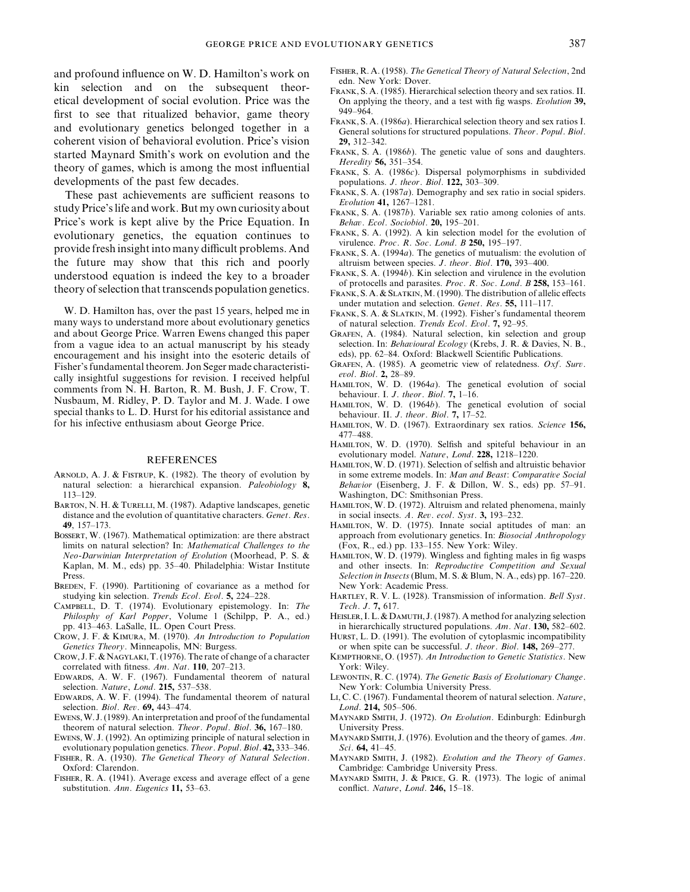and profound influence on W. D. Hamilton's work on kin selection and on the subsequent theoretical development of social evolution. Price was the first to see that ritualized behavior, game theory and evolutionary genetics belonged together in a coherent vision of behavioral evolution. Price's vision started Maynard Smith's work on evolution and the theory of games, which is among the most influential developments of the past few decades.

These past achievements are sufficient reasons to study Price's life and work. But my own curiosity about Price's work is kept alive by the Price Equation. In evolutionary genetics, the equation continues to provide fresh insight into many difficult problems. And the future may show that this rich and poorly understood equation is indeed the key to a broader theory of selection that transcends population genetics.

W. D. Hamilton has, over the past 15 years, helped me in many ways to understand more about evolutionary genetics and about George Price. Warren Ewens changed this paper from a vague idea to an actual manuscript by his steady encouragement and his insight into the esoteric details of Fisher's fundamental theorem. Jon Seger made characteristically insightful suggestions for revision. I received helpful comments from N. H. Barton, R. M. Bush, J. F. Crow, T. Nusbaum, M. Ridley, P. D. Taylor and M. J. Wade. I owe special thanks to L. D. Hurst for his editorial assistance and for his infective enthusiasm about George Price.

#### REFERENCES

- ARNOLD, A. J. & FISTRUP, K. (1982). The theory of evolution by natural selection: a hierarchical expansion. *Paleobiology* 8, 113–129.
- BARTON, N. H. & TURELLI, M. (1987). Adaptive landscapes, genetic distance and the evolution of quantitative characters. *Genet*. *Res*. 49, 157–173.
- BOSSERT, W. (1967). Mathematical optimization: are there abstract limits on natural selection? In: *Mathematical Challenges to the Neo*-*Darwinian Interpretation of Evolution* (Moorhead, P. S. & Kaplan, M. M., eds) pp. 35–40. Philadelphia: Wistar Institute Press.
- BREDEN, F. (1990). Partitioning of covariance as a method for studying kin selection. *Trends Ecol*. *Evol*. 5, 224–228.
- CAMPBELL, D. T. (1974). Evolutionary epistemology. In: The *Philosphy of Karl Popper*, Volume 1 (Schilpp, P. A., ed.) pp. 413–463. LaSalle, IL. Open Court Press.
- CROW, J. F. & KIMURA, M. (1970). An Introduction to Population *Genetics Theory*. Minneapolis, MN: Burgess.
- CROW, J.F. & NAGYLAKI, T. (1976). The rate of change of a character correlated with fitness. *Am*. *Nat*. 110, 207–213.
- EDWARDS, A. W. F. (1967). Fundamental theorem of natural selection. *Nature*, *Lond*. 215, 537–538.
- EDWARDS, A. W. F. (1994). The fundamental theorem of natural selection. *Biol*. *Rev*. 69, 443–474.
- EWENS, W.J. (1989). An interpretation and proof of the fundamental theorem of natural selection. *Theor*. *Popul*. *Biol*. 36, 167–180.
- EWENS, W. J. (1992). An optimizing principle of natural selection in evolutionarypopulationgenetics.*Theor*.*Popul*.*Biol*. 42, 333–346.
- FISHER, R. A. (1930). *The Genetical Theory of Natural Selection*. Oxford: Clarendon.
- FISHER, R. A. (1941). Average excess and average effect of a gene substitution. *Ann*. *Eugenics* 11, 53–63.
- FISHER, R. A. (1958). *The Genetical Theory of Natural Selection*, 2nd edn. New York: Dover.
- FRANK, S. A. (1985). Hierarchical selection theory and sex ratios. II. On applying the theory, and a test with fig wasps. *Evolution* 39, 949–964.
- FRANK, S. A. (1986*a*). Hierarchical selection theory and sex ratios I. General solutions for structured populations. *Theor*. *Popul*. *Biol*. 29, 312–342.
- FRANK, S. A. (1986b). The genetic value of sons and daughters. *Heredity* 56, 351–354.
- FRANK, S. A. (1986*c*). Dispersal polymorphisms in subdivided populations. *J*. *theor*. *Biol*. 122, 303–309.
- FRANK, S. A. (1987*a*). Demography and sex ratio in social spiders. *Evolution* 41, 1267–1281.
- FRANK, S. A. (1987b). Variable sex ratio among colonies of ants. *Behav*. *Ecol*. *Sociobiol*. 20, 195–201.
- FRANK, S. A. (1992). A kin selection model for the evolution of virulence. *Proc*. *R*. *Soc*. *Lond*. *B* 250, 195–197.
- FRANK, S. A. (1994*a*). The genetics of mutualism: the evolution of altruism between species. *J*. *theor*. *Biol*. 170, 393–400.
- FRANK, S. A. (1994*b*). Kin selection and virulence in the evolution of protocells and parasites. *Proc*. *R*. *Soc*. *Lond*. *B* 258, 153–161.
- FRANK, S.A. & SLATKIN, M. (1990). The distribution of allelic effects under mutation and selection. *Genet*. *Res*. 55, 111–117.
- FRANK, S. A. & SLATKIN, M. (1992). Fisher's fundamental theorem of natural selection. *Trends Ecol*. *Evol*. 7, 92–95.
- GRAFEN, A. (1984). Natural selection, kin selection and group selection. In: *Behavioural Ecology* (Krebs, J. R. & Davies, N. B., eds), pp. 62–84. Oxford: Blackwell Scientific Publications.
- GRAFEN, A. (1985). A geometric view of relatedness. Oxf. Surv. *evol*. *Biol*. 2, 28–89.
- HAMILTON, W. D. (1964*a*). The genetical evolution of social behaviour. I. *J*. *theor*. *Biol*. 7, 1–16.
- HAMILTON, W. D. (1964b). The genetical evolution of social behaviour. II. *J*. *theor*. *Biol*. 7, 17–52.
- HAMILTON, W. D. (1967). Extraordinary sex ratios. *Science* 156, 477–488.
- HAMILTON, W. D. (1970). Selfish and spiteful behaviour in an evolutionary model. *Nature*, *Lond*. 228, 1218–1220.
- HAMILTON, W. D. (1971). Selection of selfish and altruistic behavior in some extreme models. In: *Man and Beast*: *Comparative Social Behavior* (Eisenberg, J. F. & Dillon, W. S., eds) pp. 57–91. Washington, DC: Smithsonian Press.
- HAMILTON, W. D. (1972). Altruism and related phenomena, mainly in social insects. *A*. *Rev*. *ecol*. *Syst*. 3, 193–232.
- HAMILTON, W. D. (1975). Innate social aptitudes of man: an approach from evolutionary genetics. In: *Biosocial Anthropology* (Fox, R., ed.) pp. 133–155. New York: Wiley.
- HAMILTON, W. D. (1979). Wingless and fighting males in fig wasps and other insects. In: *Reproductive Competition and Sexual Selection in Insects* (Blum, M. S. & Blum, N. A., eds) pp. 167–220. New York: Academic Press.
- HARTLEY, R. V. L. (1928). Transmission of information. *Bell Syst*. *Tech*. *J*. 7, 617.
- HEISLER, I.L.  $&$  DAMUTH, J. (1987). A method for analyzing selection in hierarchically structured populations. *Am*. *Nat*. 130, 582–602. HURST, L. D. (1991). The evolution of cytoplasmic incompatibility
- or when spite can be successful. *J*. *theor*. *Biol*. 148, 269–277.
- KEMPTHORNE, O. (1957). An Introduction to Genetic Statistics. New York: Wiley.
- LEWONTIN, R. C. (1974). *The Genetic Basis of Evolutionary Change*. New York: Columbia University Press.
- L, C. C. (1967). Fundamental theorem of natural selection. *Nature*, *Lond*. 214, 505–506.
- MAYNARD SMITH, J. (1972). On Evolution. Edinburgh: Edinburgh University Press.
- MAYNARD SMITH, J. (1976). Evolution and the theory of games. Am. *Sci*. 64, 41–45.
- MAYNARD SMITH, J. (1982). *Evolution and the Theory of Games*. Cambridge: Cambridge University Press.
- MAYNARD SMITH, J. & PRICE, G. R. (1973). The logic of animal conflict. *Nature*, *Lond*. 246, 15–18.